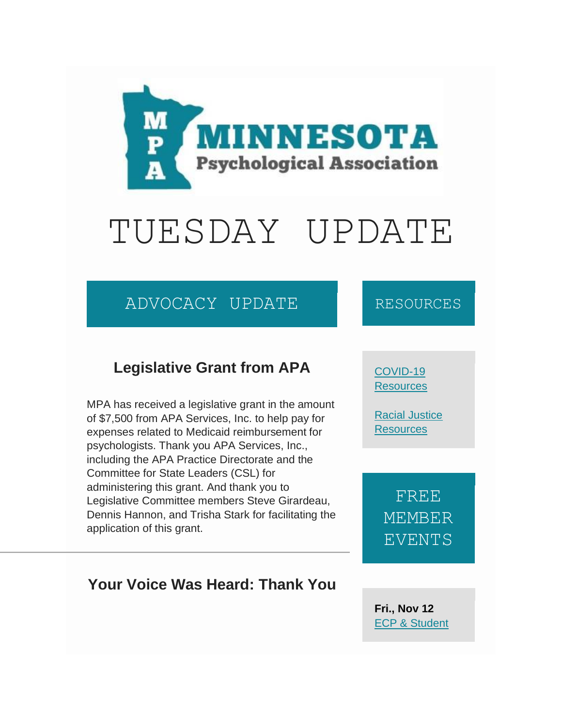

# TUESDAY UPDATE

## ADVOCACY UPDATE

#### **Legislative Grant from APA**

MPA has received a legislative grant in the amount of \$7,500 from APA Services, Inc. to help pay for expenses related to Medicaid reimbursement for psychologists. Thank you APA Services, Inc., including the APA Practice Directorate and the Committee for State Leaders (CSL) for administering this grant. And thank you to Legislative Committee members Steve Girardeau, Dennis Hannon, and Trisha Stark for facilitating the application of this grant.

#### **Your Voice Was Heard: Thank You**

#### RESOURCES

#### [COVID-19](https://www.mnpsych.org/covid-19-resources)  **[Resources](https://www.mnpsych.org/covid-19-resources)**

[Racial Justice](http://www.mnpsych.org/racial-injustice-resources)  **[Resources](http://www.mnpsych.org/racial-injustice-resources)** 

FREE **MEMBER** EVENTS

**Fri., Nov 12** [ECP & Student](https://www.mnpsych.org/index.php?option=com_jevents&task=icalrepeat.detail&evid=243&Itemid=134&year=2021&month=11&day=12&title=ecp-a-student-division-social&uid=164fab1f3b0652a52a2ec61eacf24b1d)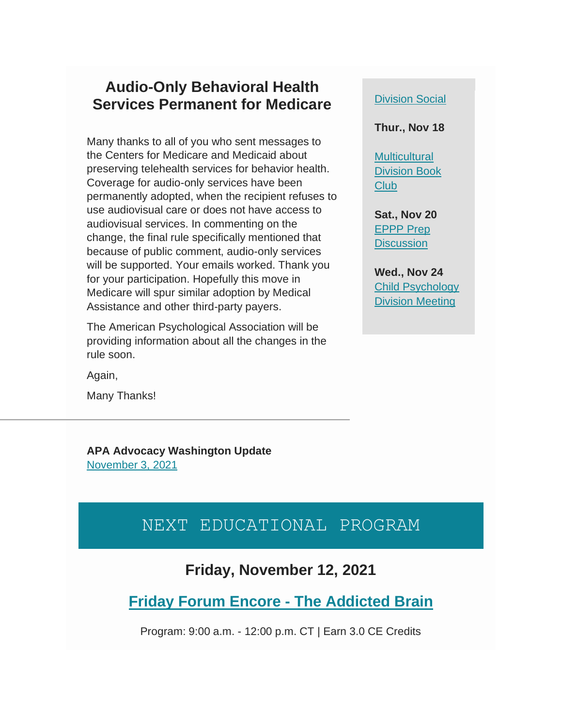#### **Audio-Only Behavioral Health Services Permanent for Medicare**

Many thanks to all of you who sent messages to the Centers for Medicare and Medicaid about preserving telehealth services for behavior health. Coverage for audio-only services have been permanently adopted, when the recipient refuses to use audiovisual care or does not have access to audiovisual services. In commenting on the change, the final rule specifically mentioned that because of public comment, audio-only services will be supported. Your emails worked. Thank you for your participation. Hopefully this move in Medicare will spur similar adoption by Medical Assistance and other third-party payers.

The American Psychological Association will be providing information about all the changes in the rule soon.

Again,

Many Thanks!

**APA Advocacy Washington Update** [November 3, 2021](https://mcusercontent.com/8174bfe693cfaf6a8a44ef07c/files/17f50b45-33a4-215a-5d7c-8320d0937358/APA_Advocacy_Update_11.3.21.pdf)

#### [Division Social](https://www.mnpsych.org/index.php?option=com_jevents&task=icalrepeat.detail&evid=243&Itemid=134&year=2021&month=11&day=12&title=ecp-a-student-division-social&uid=164fab1f3b0652a52a2ec61eacf24b1d)

**Thur., Nov 18**

**Multicultural** [Division Book](https://www.mnpsych.org/index.php?option=com_jevents&task=icalrepeat.detail&evid=244&Itemid=134&year=2021&month=11&day=18&title=diversity-division-book-club&uid=df5729c8e4bd6c7d52d8e96e039522ce)  [Club](https://www.mnpsych.org/index.php?option=com_jevents&task=icalrepeat.detail&evid=244&Itemid=134&year=2021&month=11&day=18&title=diversity-division-book-club&uid=df5729c8e4bd6c7d52d8e96e039522ce)

**Sat., Nov 20** [EPPP Prep](https://www.mnpsych.org/index.php?option=com_jevents&task=icalrepeat.detail&evid=231&Itemid=134&year=2021&month=11&day=20&title=eppp-prep&uid=7a3c9551b877bde9bf889f7234f57a2f)  **[Discussion](https://www.mnpsych.org/index.php?option=com_jevents&task=icalrepeat.detail&evid=231&Itemid=134&year=2021&month=11&day=20&title=eppp-prep&uid=7a3c9551b877bde9bf889f7234f57a2f)** 

**Wed., Nov 24** [Child Psychology](https://www.mnpsych.org/index.php?option=com_jevents&task=icalrepeat.detail&evid=237&Itemid=134&year=2021&month=11&day=24&title=child-psychology-division-meeting&uid=1e1b9ec87d2f2585d9b4d1b317b1b773)  [Division Meeting](https://www.mnpsych.org/index.php?option=com_jevents&task=icalrepeat.detail&evid=237&Itemid=134&year=2021&month=11&day=24&title=child-psychology-division-meeting&uid=1e1b9ec87d2f2585d9b4d1b317b1b773)

#### NEXT EDUCATIONAL PROGRAM

#### **Friday, November 12, 2021**

**[Friday Forum Encore -](https://www.mnpsych.org/index.php?option=com_jevents&task=icalrepeat.detail&evid=197&Itemid=134&year=2021&month=11&day=12&title=friday-forum-encore-the-addicted-brain&uid=9fa7c01e92488290d59636b23f37bec7) The Addicted Brain**

Program: 9:00 a.m. - 12:00 p.m. CT | Earn 3.0 CE Credits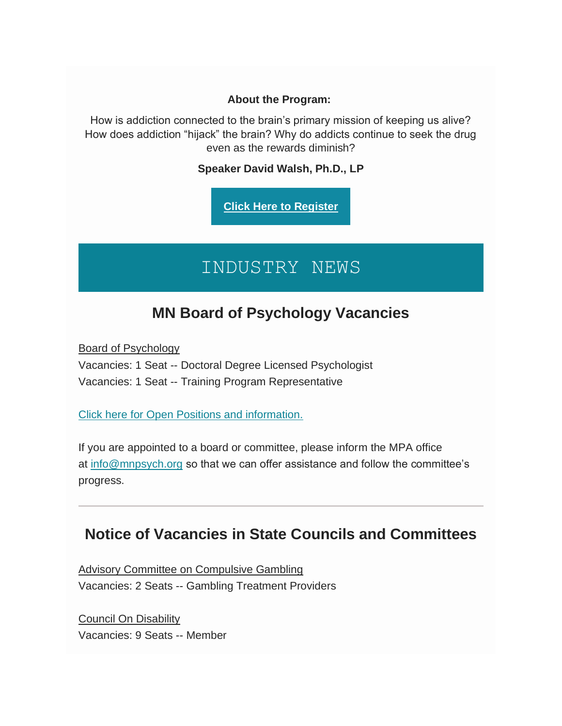#### **About the Program:**

How is addiction connected to the brain's primary mission of keeping us alive? How does addiction "hijack" the brain? Why do addicts continue to seek the drug even as the rewards diminish?

**Speaker David Walsh, Ph.D., LP**

**[Click Here to Register](https://www.mnpsych.org/index.php?option=com_jevents&task=icalrepeat.detail&evid=197&Itemid=134&year=2021&month=11&day=12&title=friday-forum-encore-the-addicted-brain&uid=9fa7c01e92488290d59636b23f37bec7)**

# INDUSTRY NEWS

#### **MN Board of Psychology Vacancies**

Board of Psychology

Vacancies: 1 Seat -- Doctoral Degree Licensed Psychologist Vacancies: 1 Seat -- Training Program Representative

[Click here for Open Positions and information.](https://commissionsandappointments.sos.state.mn.us/Position/Index/1)

If you are appointed to a board or committee, please inform the MPA office at [info@mnpsych.org](mailto:info@mnpsych.org) so that we can offer assistance and follow the committee's progress.

#### **Notice of Vacancies in State Councils and Committees**

Advisory Committee on Compulsive Gambling Vacancies: 2 Seats -- Gambling Treatment Providers

Council On Disability Vacancies: 9 Seats -- Member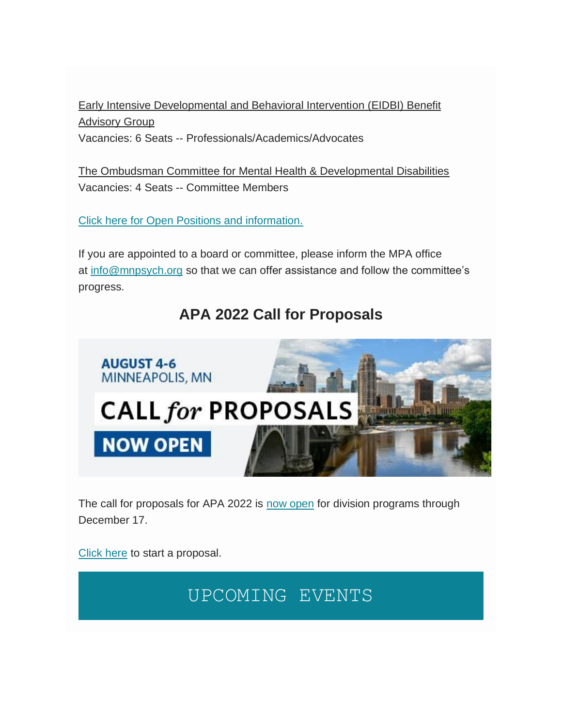Early Intensive Developmental and Behavioral Intervention (EIDBI) Benefit Advisory Group Vacancies: 6 Seats -- Professionals/Academics/Advocates

The Ombudsman Committee for Mental Health & Developmental Disabilities Vacancies: 4 Seats -- Committee Members

[Click here for Open Positions and information.](https://commissionsandappointments.sos.state.mn.us/Position/Index/1)

If you are appointed to a board or committee, please inform the MPA office at [info@mnpsych.org](mailto:info@mnpsych.org) so that we can offer assistance and follow the committee's progress.

## **APA 2022 Call for Proposals**



The call for proposals for APA 2022 is [now open](https://convention.apa.org/proposals) for division programs through December 17.

[Click here](https://convention.apa.org/proposals) to start a proposal.

## UPCOMING EVENTS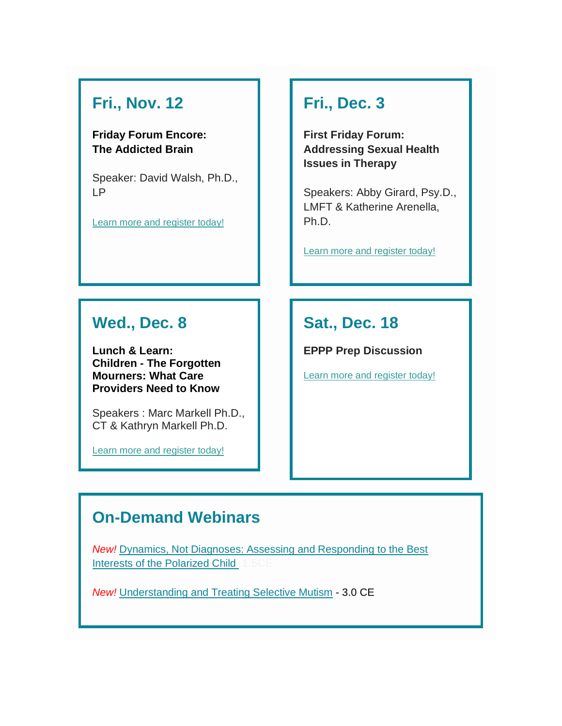## **Fri., Nov. 12**

#### **Friday Forum Encore: The Addicted Brain**

Speaker: David Walsh, Ph.D., LP

[Learn more and register today!](https://www.mnpsych.org/index.php?option=com_jevents&task=icalrepeat.detail&evid=197&Itemid=134&year=2021&month=11&day=12&title=friday-forum-encore-the-addicted-brain&uid=9fa7c01e92488290d59636b23f37bec7)

## **Fri., Dec. 3**

**First Friday Forum: Addressing Sexual Health Issues in Therapy**

Speakers: Abby Girard, Psy.D., LMFT & Katherine Arenella, Ph.D.

[Learn more and register today!](https://www.mnpsych.org/index.php?option=com_jevents&task=icalrepeat.detail&evid=198&Itemid=134&year=2021&month=12&day=03&title=first-friday-forum-addressing-sexual-health-issues-in-therapy&uid=9dbf07ee95dca438f48b6262bcdcb910)

#### **Wed., Dec. 8**

**Lunch & Learn: Children - The Forgotten Mourners: What Care Providers Need to Know**

Speakers : Marc Markell Ph.D., CT & Kathryn Markell Ph.D.

[Learn more and register today!](https://www.mnpsych.org/index.php?option=com_jevents&task=icalrepeat.detail&evid=199&Itemid=134&year=2021&month=12&day=08&title=lunch-a-learn-children-the-forgotten-mourners-what-care-providers-need-to-know&uid=a8b7534861ad3880057c7ee6822d2a50)

## **Sat., Dec. 18**

**EPPP Prep Discussion**

[Learn more and register today!](https://www.mnpsych.org/index.php?option=com_jevents&task=icalrepeat.detail&evid=232&Itemid=134&year=2021&month=12&day=18&title=eppp-prep&uid=6aeb9a931747ca59465efe4ca0ac51eb)

#### **On-Demand Webinars**

*New!* [Dynamics, Not Diagnoses: Assessing and Responding to the Best](http://https/mpa.ce21.com/item/dynamics-diagnoses-assessing-responding-interests-polarized-child-91544)  [Interests of the Polarized Child](http://https/mpa.ce21.com/item/dynamics-diagnoses-assessing-responding-interests-polarized-child-91544)

*New!* [Understanding and Treating Selective Mutism](http://https/mpa.ce21.com/item/understanding-treating-selective-mutism-91548) - 3.0 CE